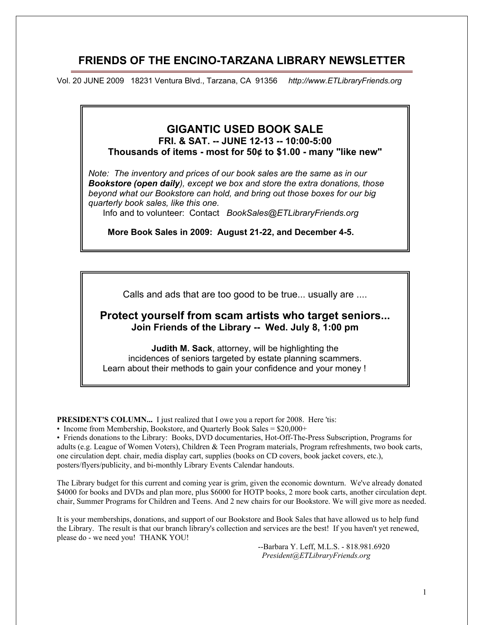# **FRIENDS OF THE ENCINO-TARZANA LIBRARY NEWSLETTER**

Vol. 20 JUNE 2009 18231 Ventura Blvd., Tarzana, CA 91356 *http://www.ETLibraryFriends.org*

# **GIGANTIC USED BOOK SALE**

**FRI. & SAT. -- JUNE 12-13 -- 10:00-5:00 Thousands of items - most for 50¢ to \$1.00 - many "like new"**

*Note: The inventory and prices of our book sales are the same as in our Bookstore (open daily), except we box and store the extra donations, those beyond what our Bookstore can hold, and bring out those boxes for our big quarterly book sales, like this one.*

Info and to volunteer: Contact *BookSales@ETLibraryFriends.org*

 **More Book Sales in 2009: August 21-22, and December 4-5.**

Calls and ads that are too good to be true... usually are ....

# **CHANGES IN LIBRARY POLICIES & PROCEDURES Protect yourself from scam artists who target seniors... Join Friends of the Library -- Wed. July 8, 1:00 pm**

**Judith M. Sack**, attorney, will be highlighting the incidences of seniors targeted by estate planning scammers. Learn about their methods to gain your confidence and your money !

**PRESIDENT'S COLUMN...** I just realized that I owe you a report for 2008. Here 'tis:

• Income from Membership, Bookstore, and Quarterly Book Sales = \$20,000+

• Friends donations to the Library: Books, DVD documentaries, Hot-Off-The-Press Subscription, Programs for adults (e.g. League of Women Voters), Children & Teen Program materials, Program refreshments, two book carts, one circulation dept. chair, media display cart, supplies (books on CD covers, book jacket covers, etc.), posters/flyers/publicity, and bi-monthly Library Events Calendar handouts.

The Library budget for this current and coming year is grim, given the economic downturn. We've already donated \$4000 for books and DVDs and plan more, plus \$6000 for HOTP books, 2 more book carts, another circulation dept. chair, Summer Programs for Children and Teens. And 2 new chairs for our Bookstore. We will give more as needed.

It is your memberships, donations, and support of our Bookstore and Book Sales that have allowed us to help fund the Library. The result is that our branch library's collection and services are the best! If you haven't yet renewed, please do - we need you! THANK YOU!

> --Barbara Y. Leff, M.L.S. - 818.981.6920 *President@ETLibraryFriends.org*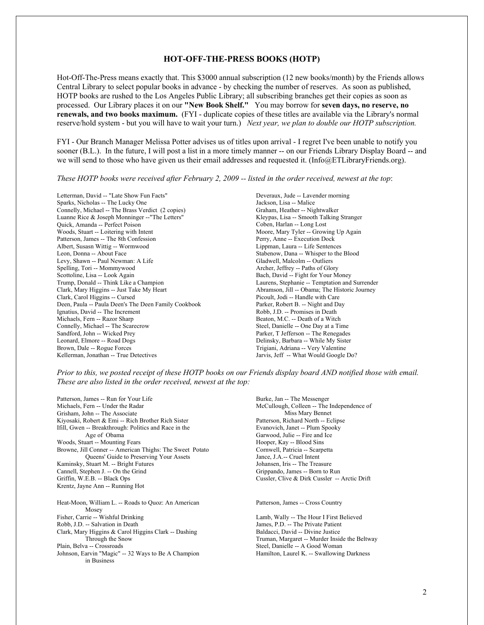## **HOT-OFF-THE-PRESS BOOKS (HOTP)**

Hot-Off-The-Press means exactly that. This \$3000 annual subscription (12 new books/month) by the Friends allows Central Library to select popular books in advance - by checking the number of reserves. As soon as published, HOTP books are rushed to the Los Angeles Public Library; all subscribing branches get their copies as soon as processed. Our Library places it on our **"New Book Shelf."** You may borrow for **seven days, no reserve, no renewals, and two books maximum.** (FYI - duplicate copies of these titles are available via the Library's normal reserve/hold system - but you will have to wait your turn.) *Next year, we plan to double our HOTP subscription.*

FYI - Our Branch Manager Melissa Potter advises us of titles upon arrival - I regret I've been unable to notify you sooner (B.L.). In the future, I will post a list in a more timely manner -- on our Friends Library Display Board -- and we will send to those who have given us their email addresses and requested it. (Info@ETLibraryFriends.org).

#### *These HOTP books were received after February 2, 2009 -- listed in the order received, newest at the top*:

Letterman, David -- "Late Show Fun Facts" Sparks, Nicholas -- The Lucky One Connelly, Michael -- The Brass Verdict (2 copies) Luanne Rice & Joseph Monninger --"The Letters" Quick, Amanda -- Perfect Poison Woods, Stuart -- Loitering with Intent Patterson, James -- The 8th Confession Albert, Susasn Wittig -- Wormwood Leon, Donna -- About Face Levy, Shawn -- Paul Newman: A Life Spelling, Tori -- Mommywood Scottoline, Lisa -- Look Again Trump, Donald -- Think Like a Champion Clark, Mary Higgins -- Just Take My Heart Clark, Carol Higgins -- Cursed Deen, Paula -- Paula Deen's The Deen Family Cookbook Ignatius, David -- The Increment Michaels, Fern -- Razor Sharp Connelly, Michael -- The Scarecrow Sandford, John -- Wicked Prey Leonard, Elmore -- Road Dogs Brown, Dale -- Rogue Forces Kellerman, Jonathan -- True Detectives

Deveraux, Jude -- Lavender morning Jackson, Lisa -- Malice Graham, Heather -- Nightwalker Kleypas, Lisa -- Smooth Talking Stranger Coben, Harlan -- Long Lost Moore, Mary Tyler -- Growing Up Again Perry, Anne -- Execution Dock Lippman, Laura -- Life Sentences Stabenow, Dana -- Whisper to the Blood Gladwell, Malcolm -- Outliers Archer, Jeffrey -- Paths of Glory Bach, David -- Fight for Your Money Laurens, Stephanie -- Temptation and Surrender Abramson, Jill -- Obama; The Historic Journey Picoult, Jodi -- Handle with Care Parker, Robert B. -- Night and Day Robb, J.D. -- Promises in Death Beaton, M.C. -- Death of a Witch Steel, Danielle -- One Day at a Time Parker, T Jefferson -- The Renegades Delinsky, Barbara -- While My Sister Trigiani, Adriana -- Very Valentine Jarvis, Jeff -- What Would Google Do?

*Prior to this, we posted receipt of these HOTP books on our Friends display board AND notified those with email. These are also listed in the order received, newest at the top:* 

Patterson, James -- Run for Your Life Michaels, Fern -- Under the Radar Grisham, John -- The Associate Kiyosaki, Robert & Emi -- Rich Brother Rich Sister Ifill, Gwen -- Breakthrough: Politics and Race in the Age of Obama Woods, Stuart -- Mounting Fears Browne, Jill Conner -- American Thighs: The Sweet Potato Queens' Guide to Preserving Your Assets Kaminsky, Stuart M. -- Bright Futures Cannell, Stephen J. -- On the Grind Griffin, W.E.B. -- Black Ops Krentz, Jayne Ann -- Running Hot

Heat-Moon, William L. -- Roads to Quoz: An American Mosey Fisher, Carrie -- Wishful Drinking Robb, J.D. -- Salvation in Death Clark, Mary Higgins & Carol Higgins Clark -- Dashing Through the Snow Plain, Belva -- Crossroads Johnson, Earvin "Magic" -- 32 Ways to Be A Champion in Business

Burke, Jan -- The Messenger McCullough, Colleen -- The Independence of Miss Mary Bennet Patterson, Richard North -- Eclipse Evanovich, Janet -- Plum Spooky Garwood, Julie -- Fire and Ice Hooper, Kay -- Blood Sins Cornwell, Patricia -- Scarpetta Jance, J.A.-- Cruel Intent Johansen, Iris -- The Treasure Grippando, James -- Born to Run Cussler, Clive & Dirk Cussler -- Arctic Drift

Patterson, James -- Cross Country

Lamb, Wally -- The Hour I First Believed James, P.D. -- The Private Patient Baldacci, David -- Divine Justice Truman, Margaret -- Murder Inside the Beltway Steel, Danielle -- A Good Woman Hamilton, Laurel K. -- Swallowing Darkness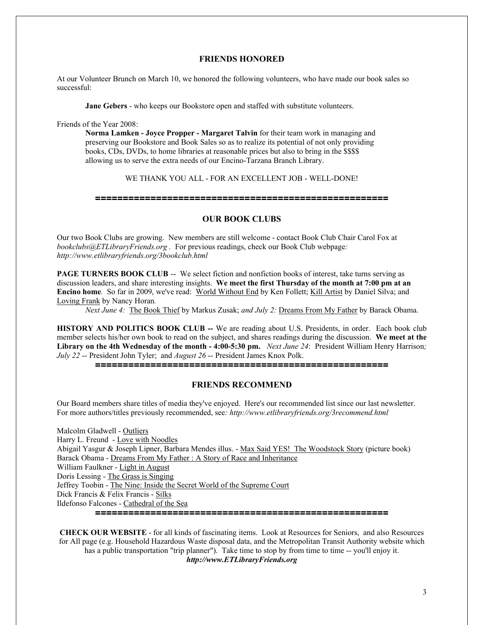## **FRIENDS HONORED**

At our Volunteer Brunch on March 10, we honored the following volunteers, who have made our book sales so successful:

**Jane Gebers** - who keeps our Bookstore open and staffed with substitute volunteers.

Friends of the Year 2008:

**Norma Lamken - Joyce Propper - Margaret Talvin** for their team work in managing and preserving our Bookstore and Book Sales so as to realize its potential of not only providing books, CDs, DVDs, to home libraries at reasonable prices but also to bring in the \$\$\$\$ allowing us to serve the extra needs of our Encino-Tarzana Branch Library.

### WE THANK YOU ALL - FOR AN EXCELLENT JOB - WELL-DONE!

#### **=====================================================**

#### **OUR BOOK CLUBS**

Our two Book Clubs are growing. New members are still welcome - contact Book Club Chair Carol Fox at *bookclubs@ETLibraryFriends.org .* For previous readings, check our Book Club webpage*: http://www.etlibraryfriends.org/3bookclub.html* 

**PAGE TURNERS BOOK CLUB** -- We select fiction and nonfiction books of interest, take turns serving as discussion leaders, and share interesting insights. **We meet the first Thursday of the month at 7:00 pm at an Encino home***.* So far in 2009, we've read: World Without End by Ken Follett; Kill Artist by Daniel Silva; and Loving Frank by Nancy Horan*.* 

*Next June 4:* The Book Thief by Markus Zusak; *and July 2:* Dreams From My Father by Barack Obama.

**HISTORY AND POLITICS BOOK CLUB --** We are reading about U.S. Presidents, in order.Each book club member selects his/her own book to read on the subject, and shares readings during the discussion. **We meet at the Library on the 4th Wednesday of the month - 4:00-5:30 pm.** *Next June 24*: President William Henry Harrison*; July 22* -- President John Tyler; and *August 26* -- President James Knox Polk.

**=====================================================**

#### **FRIENDS RECOMMEND**

Our Board members share titles of media they've enjoyed. Here's our recommended list since our last newsletter. For more authors/titles previously recommended, see*: http://www.etlibraryfriends.org/3recommend.html*

Malcolm Gladwell - Outliers Harry L. Freund - Love with Noodles Abigail Yasgur & Joseph Lipner, Barbara Mendes illus. - Max Said YES! The Woodstock Story (picture book) Barack Obama - Dreams From My Father : A Story of Race and Inheritance William Faulkner - Light in August Doris Lessing - The Grass is Singing Jeffrey Toobin - The Nine: Inside the Secret World of the Supreme Court Dick Francis & Felix Francis - Silks Ildefonso Falcones - Cathedral of the Sea **=====================================================**

**CHECK OUR WEBSITE** - for all kinds of fascinating items. Look at Resources for Seniors, and also Resources for All page (e.g. Household Hazardous Waste disposal data, and the Metropolitan Transit Authority website which has a public transportation "trip planner"). Take time to stop by from time to time -- you'll enjoy it. *http://www.ETLibraryFriends.org*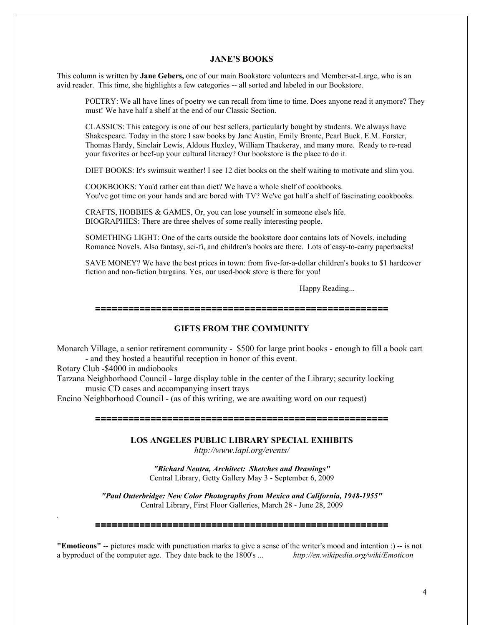#### **JANE'S BOOKS**

This column is written by **Jane Gebers,** one of our main Bookstore volunteers and Member-at-Large, who is an avid reader. This time, she highlights a few categories -- all sorted and labeled in our Bookstore.

POETRY: We all have lines of poetry we can recall from time to time. Does anyone read it anymore? They must! We have half a shelf at the end of our Classic Section.

CLASSICS: This category is one of our best sellers, particularly bought by students. We always have Shakespeare. Today in the store I saw books by Jane Austin, Emily Bronte, Pearl Buck, E.M. Forster, Thomas Hardy, Sinclair Lewis, Aldous Huxley, William Thackeray, and many more. Ready to re-read your favorites or beef-up your cultural literacy? Our bookstore is the place to do it.

DIET BOOKS: It's swimsuit weather! I see 12 diet books on the shelf waiting to motivate and slim you.

COOKBOOKS: You'd rather eat than diet? We have a whole shelf of cookbooks. You've got time on your hands and are bored with TV? We've got half a shelf of fascinating cookbooks.

CRAFTS, HOBBIES & GAMES, Or, you can lose yourself in someone else's life. BIOGRAPHIES: There are three shelves of some really interesting people.

SOMETHING LIGHT: One of the carts outside the bookstore door contains lots of Novels, including Romance Novels. Also fantasy, sci-fi, and children's books are there. Lots of easy-to-carry paperbacks!

SAVE MONEY? We have the best prices in town: from five-for-a-dollar children's books to \$1 hardcover fiction and non-fiction bargains. Yes, our used-book store is there for you!

Happy Reading...

#### **=====================================================**

## **GIFTS FROM THE COMMUNITY**

Monarch Village, a senior retirement community - \$500 for large print books - enough to fill a book cart - and they hosted a beautiful reception in honor of this event.

Rotary Club -\$4000 in audiobooks

*.*

Tarzana Neighborhood Council - large display table in the center of the Library; security locking music CD cases and accompanying insert trays

Encino Neighborhood Council - (as of this writing, we are awaiting word on our request)

**=====================================================**

**LOS ANGELES PUBLIC LIBRARY SPECIAL EXHIBITS**

*http://www.lapl.org/events/*

*"Richard Neutra, Architect: Sketches and Drawings"* Central Library, Getty Gallery May 3 - September 6, 2009

*"Paul Outerbridge: New Color Photographs from Mexico and California, 1948-1955"* Central Library, First Floor Galleries, March 28 - June 28, 2009

#### **=====================================================**

**"Emoticons"** -- pictures made with punctuation marks to give a sense of the writer's mood and intention :) -- is not a byproduct of the computer age. They date back to the 1800's ... *http://en.wikipedia.org/wiki/Emoticon* a byproduct of the computer age. They date back to the 1800's ...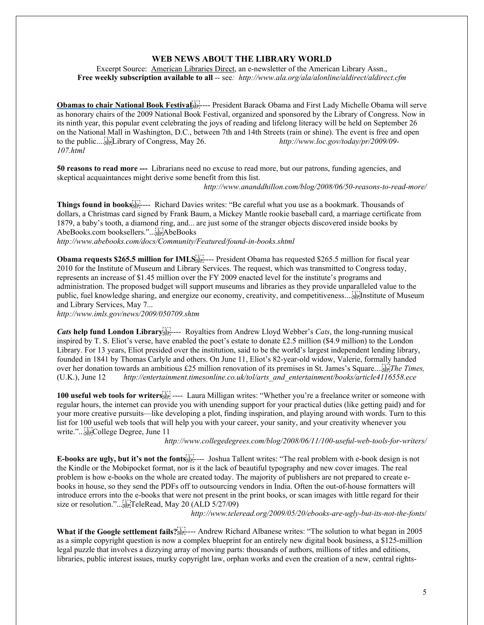## **WEB NEWS ABOUT THE LIBRARY WORLD**

Excerpt Source: American Libraries Direct, an e-newsletter of the American Library Assn., **Free weekly subscription available to all** -- see*: http://www.ala.org/ala/alonline/aldirect/aldirect.cfm*

**[Obamas to chair National Book Festival](http://link.ixs1.net/s/lt?id=48761504&si=y98436906&pc=p2091&ei=q370267) Figure President Barack Obama and First Lady Michelle Obama will serve** as honorary chairs of the 2009 National Book Festival, organized and sponsored by the Library of Congress. Now in its ninth year, this popular event celebrating the joys of reading and lifelong literacy will be held on September 26 on the National Mall in Washington, D.C., between 7th and 14th Streets (rain or shine). The event is free and open to the public.... Library of Congress, May 26. *http://www.loc.gov/today/pr/2009/09- 107.html*

**50 reasons to read more ---** Librarians need no excuse to read more, but our patrons, funding agencies, and skeptical acquaintances might derive some benefit from this list.

*http://www.ananddhillon.com/blog/2008/06/50-reasons-to-read-more/*

[Things found in books](http://link.ixs1.net/s/lt?id=y2197110&si=y98436906&pc=92111&ei=j216504)<sup>[11]</sup><sub>sep----</sub> Richard Davies writes: "Be careful what you use as a bookmark. Thousands of dollars, a Christmas card signed by Frank Baum, a Mickey Mantle rookie baseball card, a marriage certificate from 1879, a baby's tooth, a diamond ring, and... are just some of the stranger objects discovered inside books by AbeBooks.com booksellers."... AbeBooks *http://www.abebooks.com/docs/Community/Featured/found-in-books.shtml*

[Obama requests \\$265.5 million for IMLS](http://link.ixs1.net/s/lt?id=68752328&si=y98436906&pc=j2121&ei=r362258)<sup>[17]</sup><sub>SEP</sub>---- President Obama has requested \$265.5 million for fiscal year 2010 for the Institute of Museum and Library Services. The request, which was transmitted to Congress today, represents an increase of \$1.45 million over the FY 2009 enacted level for the institute's programs and administration. The proposed budget will support museums and libraries as they provide unparalleled value to the public, fuel knowledge sharing, and energize our economy, creativity, and competitiveness.... Institute of Museum and Library Services, May 7...

*http://www.imls.gov/news/2009/050709.shtm*

Cats [help fund London Library](http://link.ixs1.net/s/lt?id=22197080&si=y98436906&pc=v2079&ei=j216504)<sup>[11]</sup><sub>SEP</sub>---- Royalties from Andrew Lloyd Webber's *Cats*, the long-running musical inspired by T. S. Eliot's verse, have enabled the poet's estate to donate £2.5 million (\$4.9 million) to the London Library. For 13 years, Eliot presided over the institution, said to be the world's largest independent lending library, founded in 1841 by Thomas Carlyle and others. On June 11, Eliot's 82-year-old widow, Valerie, formally handed over her donation towards an ambitious £25 million renovation of its premises in St. James's Square.... *The Times,* (U.K.), June 12 *http://entertainment.timesonline.co.uk/tol/arts\_and\_entertainment/books/article4116558.ece*

**[100 useful web tools for writers](http://link.ixs1.net/s/lt?id=d2197092&si=y98436906&pc=q2092&ei=j216504)**  $\begin{bmatrix} 1 \\ 2 \end{bmatrix}$  ---- Laura Milligan writes: "Whether you're a freelance writer or someone with regular hours, the internet can provide you with unending support for your practical duties (like getting paid) and for your more creative pursuits—like developing a plot, finding inspiration, and playing around with words. Turn to this list for 100 useful web tools that will help you with your career, your sanity, and your creativity whenever you write."... College Degree, June 11

*http://www.collegedegrees.com/blog/2008/06/11/100-useful-web-tools-for-writers/*

[E-books are ugly, but it's not the fonts](http://link.ixs1.net/s/lt?id=k8761498&si=y98436906&pc=r2084&ei=q370267)<sup>[17]</sup><sub>5</sub>---- Joshua Tallent writes: "The real problem with e-book design is not the Kindle or the Mobipocket format, nor is it the lack of beautiful typography and new cover images. The real problem is how e-books on the whole are created today. The majority of publishers are not prepared to create ebooks in house, so they send the PDFs off to outsourcing vendors in India. Often the out-of-house formatters will introduce errors into the e-books that were not present in the print books, or scan images with little regard for their size or resolution."... sign TeleRead, May 20 (ALD 5/27/09)

*http://www.teleread.org/2009/05/20/ebooks-are-ugly-but-its-not-the-fonts*/

[What if the Google settlement fails?](http://link.ixs1.net/s/lt?id=c8761510&si=y98436906&pc=v2097&ei=q370267)<sup>[1]</sup><sub>15EP</sub>---- Andrew Richard Albanese writes: "The solution to what began in 2005 as a simple copyright question is now a complex blueprint for an entirely new digital book business, a \$125-million legal puzzle that involves a dizzying array of moving parts: thousands of authors, millions of titles and editions, libraries, public interest issues, murky copyright law, orphan works and even the creation of a new, central rights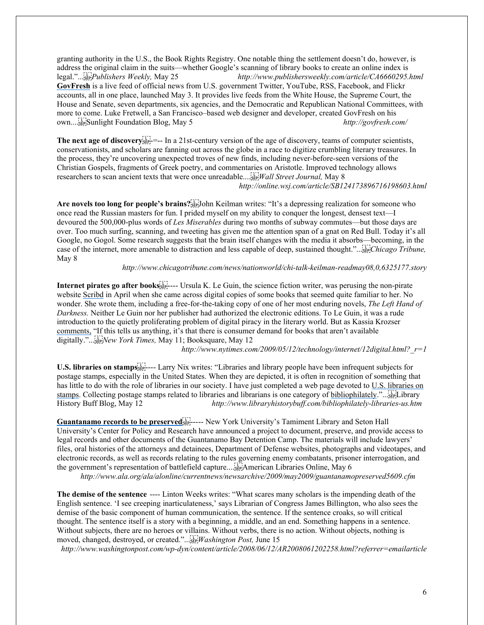granting authority in the U.S., the Book Rights Registry. One notable thing the settlement doesn't do, however, is address the original claim in the suits—whether Google's scanning of library books to create an online index is legal."... *Publishers Weekly,* May 25 *http://www.publishersweekly.com/article/CA6660295.html* **[GovFresh](http://link.ixs1.net/s/lt?id=l8747387&si=y98436906&pc=o2117&ei=p358215)** is a live feed of official news from U.S. government Twitter, YouTube, RSS, Facebook, and Flickr accounts, all in one place, launched May 3. It provides live feeds from the White House, the Supreme Court, the House and Senate, seven departments, six agencies, and the Democratic and Republican National Committees, with more to come. Luke Fretwell, a San Francisco–based web designer and developer, created GovFresh on his own.... Sunlight Foundation Blog, May 5 *http://govfresh.com/*

**[The next age of discovery](http://link.ixs1.net/s/lt?id=58752290&si=y98436906&pc=n2080&ei=r362258)**  $\frac{1}{2}$  =-- In a 21st-century version of the age of discovery, teams of computer scientists, conservationists, and scholars are fanning out across the globe in a race to digitize crumbling literary treasures. In the process, they're uncovering unexpected troves of new finds, including never-before-seen versions of the Christian Gospels, fragments of Greek poetry, and commentaries on Aristotle. Improved technology allows researchers to scan ancient texts that were once unreadable.... *Wall Street Journal,* May 8 *http://online.wsj.com/article/SB124173896716198603.html*

[Are novels too long for people's brains?](http://link.ixs1.net/s/lt?id=28752311&si=y98436906&pc=92102&ei=r362258)<sup>[5</sup><sub>55</sub>] John Keilman writes: "It's a depressing realization for someone who once read the Russian masters for fun. I prided myself on my ability to conquer the longest, densest text—I devoured the 500,000-plus words of *Les Miserables* during two months of subway commutes—but those days are over. Too much surfing, scanning, and tweeting has given me the attention span of a gnat on Red Bull. Today it's all Google, no Gogol. Some research suggests that the brain itself changes with the media it absorbs—becoming, in the case of the internet, more amenable to distraction and less capable of deep, sustained thought."... *Chicago Tribune,* May 8

*http://www.chicagotribune.com/news/nationworld/chi-talk-keilman-readmay08,0,6325177.story*

**Internet [pirates go after books](http://link.ixs1.net/s/lt?id=58752308&si=y98436906&pc=x2099&ei=r362258)**  $s_{\text{SEP}}$  ---- Ursula K. Le Guin, the science fiction writer, was perusing the non-pirate website [Scribd](http://link.ixs1.net/s/lt?id=f8752309&si=y98436906&pc=82100&ei=r362258) in April when she came across digital copies of some books that seemed quite familiar to her. No wonder. She wrote them, including a free-for-the-taking copy of one of her most enduring novels, *The Left Hand of Darkness.* Neither Le Guin nor her publisher had authorized the electronic editions. To Le Guin, it was a rude introduction to the quietly proliferating problem of digital piracy in the literary world. But as Kassia Krozser [comments,](http://link.ixs1.net/s/lt?id=b8752310&si=y98436906&pc=i2101&ei=r362258) "If this tells us anything, it's that there is consumer demand for books that aren't available digitally."... *New York Times,* May 11; Booksquare, May 12

*http://www.nytimes.com/2009/05/12/technology/internet/12digital.html?\_r=1*

[U.S. libraries on stamps](http://link.ixs1.net/s/lt?id=g8752329&si=y98436906&pc=k2122&ei=r362258)<sup>[11]</sup><sub>1</sub>---- Larry Nix writes: "Libraries and library people have been infrequent subjects for postage stamps, especially in the United States. When they are depicted, it is often in recognition of something that has little to do with the role of libraries in our society. I have just completed a web page devoted to [U.S. libraries on](http://link.ixs1.net/s/lt?id=c8752330&si=y98436906&pc=l2123&ei=r362258)  [stamps.](http://link.ixs1.net/s/lt?id=c8752330&si=y98436906&pc=l2123&ei=r362258) Collecting postage stamps related to libraries and librarians is one category o[f bibliophilately](http://link.ixs1.net/s/lt?id=38752331&si=y98436906&pc=m2124&ei=r362258)."... Library History Buff Blog, May 12 *http://www.libraryhistorybuff.com/bibliophilately-libraries-us.htm*

[Guantanamo records to be preserved](http://link.ixs1.net/s/lt?id=g8747505&si=y98436906&pc=92003&ei=p358215)<sup>[11]</sup><sub>sep-</sub>---- New York University's Tamiment Library and Seton Hall University's Center for Policy and Research have announced a project to document, preserve, and provide access to legal records and other documents of the Guantanamo Bay Detention Camp. The materials will include lawyers' files, oral histories of the attorneys and detainees, Department of Defense websites, photographs and videotapes, and electronic records, as well as records relating to the rules governing enemy combatants, prisoner interrogation, and the government's representation of battlefield capture.... American Libraries Online, May 6

*http://www.ala.org/ala/alonline/currentnews/newsarchive/2009/may2009/guantanamopreserved5609.cfm*

**[The demise of the sentence](http://link.ixs1.net/s/lt?id=32197091&si=y98436906&pc=p2091&ei=j216504)** ---- Linton Weeks writes: "What scares many scholars is the impending death of the English sentence. 'I see creeping inarticulateness,' says Librarian of Congress James Billington, who also sees the demise of the basic component of human communication, the sentence. If the sentence croaks, so will critical thought. The sentence itself is a story with a beginning, a middle, and an end. Something happens in a sentence. Without subjects, there are no heroes or villains. Without verbs, there is no action. Without objects, nothing is moved, changed, destroyed, or created."... *Washington Post,* June 15

*http://www.washingtonpost.com/wp-dyn/content/article/2008/06/12/AR2008061202258.html?referrer=emailarticle*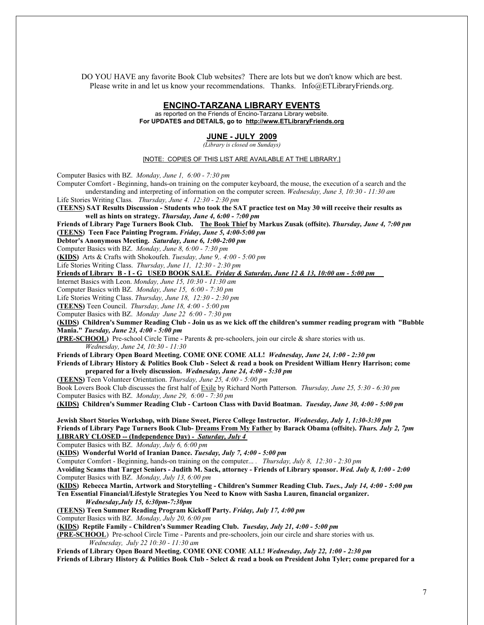DO YOU HAVE any favorite Book Club websites? There are lots but we don't know which are best. Please write in and let us know your recommendations. Thanks. Info@ETLibraryFriends.org.

# **ENCINO-TARZANA LIBRARY EVENTS**

as reported on the Friends of Encino-Tarzana Library website. **For UPDATES and DETAILS, go to http://www.ETLibraryFriends.org**

## **JUNE - JULY 2009**

*(Library is closed on Sundays)*

#### [NOTE: COPIES OF THIS LIST ARE AVAILABLE AT THE LIBRARY.]

Computer Basics with BZ. *Monday, June 1, 6:00 - 7:30 pm*

Computer Comfort - Beginning, hands-on training on the computer keyboard, the mouse, the execution of a search and the understanding and interpreting of information on the computer screen. *Wednesday, June 3, 10:30 - 11:30 am*

Life Stories Writing Class*. Thursday, June 4. 12:30 - 2:30 pm*

**(TEENS) SAT Results Discussion - Students who took the SAT practice test on May 30 will receive their results as well as hints on strategy.** *Thursday, June 4, 6:00 - 7:00 pm*

**Friends of Library Page Turners Book Club. The Book Thief by Markus Zusak (offsite).** *Thursday, June 4, 7:00 pm* **(TEENS) Teen Face Painting Program.** *Friday, June 5, 4:00-5:00 pm*

**Debtor's Anonymous Meeting.** *Saturday, June 6, 1:00-2:00 pm*

Computer Basics with BZ. *Monday, June 8, 6:00 - 7:30 pm*

**(KIDS)** Arts & Crafts with Shokoufeh. *Tuesday, June 9,. 4:00 - 5:00 pm*

Life Stories Writing Class. *Thursday, June 11, 12:30 - 2:30 pm*

**Friends of Library B - I - G USED BOOK SALE.** *Friday & Saturday, June 12 & 13, 10:00 am - 5:00 pm* 

Internet Basics with Leon. *Monday, June 15, 10:30 - 11:30 am*

Computer Basics with BZ. *Monday, June 15, 6:00 - 7:30 pm*

Life Stories Writing Class. *Thursday, June 18, 12:30 - 2:30 pm*

**(TEENS)** Teen Council. *Thursday, June 18, 4:00 - 5:00 pm*

Computer Basics with BZ. *Monday June 22 6:00 - 7:30 pm*

**(KIDS) Children's Summer Reading Club - Join us as we kick off the children's summer reading program with "Bubble Mania."** *Tuesday, June 23, 4:00 - 5:00 pm*

**(PRE-SCHOOL)** Pre-school Circle Time - Parents & pre-schoolers, join our circle & share stories with us. *Wednesday, June 24, 10:30 - 11:30*

**Friends of Library Open Board Meeting. COME ONE COME ALL!** *Wednesday, June 24, 1:00 - 2:30 pm* **Friends of Library History & Politics Book Club - Select & read a book on President William Henry Harrison; come prepared for a lively discussion.** *Wednesday, June 24, 4:00 - 5:30 pm*

**(TEENS)** Teen Volunteer Orientation. *Thursday, June 25, 4:00 - 5:00 pm*

Book Lovers Book Club discusses the first half of Exile by Richard North Patterson*. Thursday, June 25, 5:30 - 6:30 pm* Computer Basics with BZ. *Monday, June 29, 6:00 - 7:30 pm*

**(KIDS) Children's Summer Reading Club - Cartoon Class with David Boatman.** *Tuesday, June 30, 4:00 - 5:00 pm*

**Jewish Short Stories Workshop, with Diane Sweet, Pierce College Instructor.** *Wednesday, July 1, 1:30-3:30 pm* **Friends of Library Page Turners Book Club- Dreams From My Father by Barack Obama (offsite).** *Thurs. July 2, 7pm* **LIBRARY CLOSED -- (Independence Day)** *- Saturday, July 4*

Computer Basics with BZ. *Monday, July 6, 6:00 pm*

**(KIDS) Wonderful World of Iranian Dance.** *Tuesday, July 7, 4:00 - 5:00 pm*

Computer Comfort - Beginning, hands-on training on the computer... *. Thursday, July 8, 12:30 - 2:30 pm*

**Avoiding Scams that Target Seniors - Judith M. Sack, attorney - Friends of Library sponsor.** *Wed. July 8, 1:00 - 2:00* Computer Basics with BZ. *Monday, July 13, 6:00 pm*

**(KIDS) Rebecca Martin, Artwork and Storytelling - Children's Summer Reading Club.** *Tues., July 14, 4:00 - 5:00 pm* **Ten Essential Financial/Lifestyle Strategies You Need to Know with Sasha Lauren, financial organizer.**  *Wednesday,July 15, 6:30pm-7:30pm*

**(TEENS) Teen Summer Reading Program Kickoff Party.** *Friday, July 17, 4:00 pm*

Computer Basics with BZ. *Monday, July 20, 6:00 pm*

**(KIDS) Reptile Family - Children's Summer Reading Club.** *Tuesday, July 21, 4:00 - 5:00 pm*

**(PRE-SCHOOL**) Pre-school Circle Time - Parents and pre-schoolers, join our circle and share stories with us. *Wednesday, July 22 10:30 - 11:30 am*

**Friends of Library Open Board Meeting. COME ONE COME ALL!** *Wednesday, July 22, 1:00 - 2:30 pm*

**Friends of Library History & Politics Book Club - Select & read a book on President John Tyler; come prepared for a**